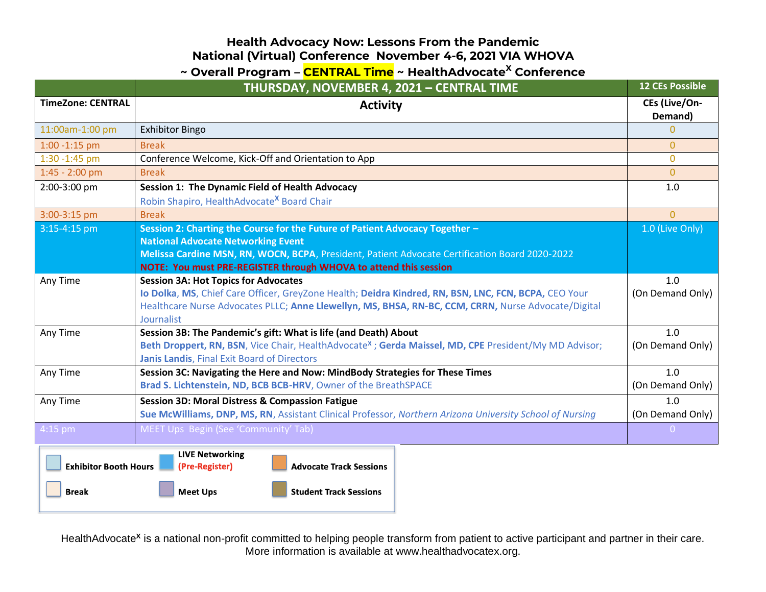### **Health Advocacy Now: Lessons From the Pandemic National (Virtual) Conference November 4-6, 2021 VIA WHOVA**

## **~ Overall Program – CENTRAL Time ~ HealthAdvocate<sup>X</sup> Conference**

|                              | THURSDAY, NOVEMBER 4, 2021 - CENTRAL TIME                                                                                                                                                                                 | <b>12 CEs Possible</b>   |
|------------------------------|---------------------------------------------------------------------------------------------------------------------------------------------------------------------------------------------------------------------------|--------------------------|
| <b>TimeZone: CENTRAL</b>     | <b>Activity</b>                                                                                                                                                                                                           | CEs (Live/On-<br>Demand) |
| 11:00am-1:00 pm              | <b>Exhibitor Bingo</b>                                                                                                                                                                                                    | $\Omega$                 |
| $1:00 - 1:15$ pm             | <b>Break</b>                                                                                                                                                                                                              | $\Omega$                 |
| 1:30 - 1:45 pm               | Conference Welcome, Kick-Off and Orientation to App                                                                                                                                                                       | $\mathbf{0}$             |
| $1:45 - 2:00$ pm             | <b>Break</b>                                                                                                                                                                                                              | $\overline{0}$           |
| 2:00-3:00 pm                 | <b>Session 1: The Dynamic Field of Health Advocacy</b>                                                                                                                                                                    | 1.0                      |
|                              | Robin Shapiro, HealthAdvocate <sup>X</sup> Board Chair                                                                                                                                                                    |                          |
| 3:00-3:15 pm                 | <b>Break</b>                                                                                                                                                                                                              | $\overline{0}$           |
| 3:15-4:15 pm                 | Session 2: Charting the Course for the Future of Patient Advocacy Together -                                                                                                                                              | 1.0 (Live Only)          |
|                              | <b>National Advocate Networking Event</b>                                                                                                                                                                                 |                          |
|                              | Melissa Cardine MSN, RN, WOCN, BCPA, President, Patient Advocate Certification Board 2020-2022                                                                                                                            |                          |
|                              | NOTE: You must PRE-REGISTER through WHOVA to attend this session                                                                                                                                                          |                          |
| Any Time                     | <b>Session 3A: Hot Topics for Advocates</b>                                                                                                                                                                               | 1.0                      |
|                              | Io Dolka, MS, Chief Care Officer, GreyZone Health; Deidra Kindred, RN, BSN, LNC, FCN, BCPA, CEO Your<br>Healthcare Nurse Advocates PLLC; Anne Llewellyn, MS, BHSA, RN-BC, CCM, CRRN, Nurse Advocate/Digital<br>Journalist | (On Demand Only)         |
| Any Time                     | Session 3B: The Pandemic's gift: What is life (and Death) About                                                                                                                                                           | 1.0                      |
|                              | Beth Droppert, RN, BSN, Vice Chair, HealthAdvocate <sup>x</sup> ; Gerda Maissel, MD, CPE President/My MD Advisor;                                                                                                         | (On Demand Only)         |
|                              | Janis Landis, Final Exit Board of Directors                                                                                                                                                                               |                          |
| Any Time                     | Session 3C: Navigating the Here and Now: MindBody Strategies for These Times                                                                                                                                              | 1.0                      |
|                              | Brad S. Lichtenstein, ND, BCB BCB-HRV, Owner of the BreathSPACE                                                                                                                                                           | (On Demand Only)         |
| Any Time                     | <b>Session 3D: Moral Distress &amp; Compassion Fatigue</b>                                                                                                                                                                | 1.0                      |
|                              | Sue McWilliams, DNP, MS, RN, Assistant Clinical Professor, Northern Arizona University School of Nursing                                                                                                                  | (On Demand Only)         |
| 4:15 pm                      | MEET Ups Begin (See 'Community' Tab)                                                                                                                                                                                      | $\overline{0}$           |
| <b>Exhibitor Booth Hours</b> | <b>LIVE Networking</b><br>(Pre-Register)<br><b>Advocate Track Sessions</b>                                                                                                                                                |                          |
| <b>Break</b>                 | <b>Meet Ups</b><br><b>Student Track Sessions</b>                                                                                                                                                                          |                          |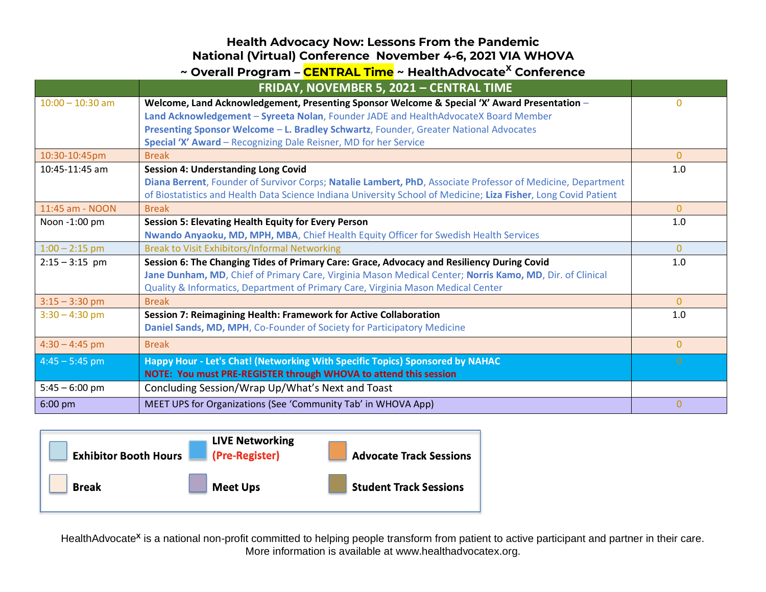#### **Health Advocacy Now: Lessons From the Pandemic National (Virtual) Conference November 4-6, 2021 VIA WHOVA**

| ~ Overall Program – CENTRAL Time ~ HealthAdvocate <sup>X</sup> Conference |                                                                                                                 |                |
|---------------------------------------------------------------------------|-----------------------------------------------------------------------------------------------------------------|----------------|
|                                                                           | FRIDAY, NOVEMBER 5, 2021 - CENTRAL TIME                                                                         |                |
| $10:00 - 10:30$ am                                                        | Welcome, Land Acknowledgement, Presenting Sponsor Welcome & Special 'X' Award Presentation -                    | $\Omega$       |
|                                                                           | Land Acknowledgement - Syreeta Nolan, Founder JADE and HealthAdvocateX Board Member                             |                |
|                                                                           | Presenting Sponsor Welcome - L. Bradley Schwartz, Founder, Greater National Advocates                           |                |
|                                                                           | Special 'X' Award - Recognizing Dale Reisner, MD for her Service                                                |                |
| 10:30-10:45pm                                                             | <b>Break</b>                                                                                                    | $\overline{0}$ |
| 10:45-11:45 am                                                            | <b>Session 4: Understanding Long Covid</b>                                                                      | 1.0            |
|                                                                           | Diana Berrent, Founder of Survivor Corps; Natalie Lambert, PhD, Associate Professor of Medicine, Department     |                |
|                                                                           | of Biostatistics and Health Data Science Indiana University School of Medicine; Liza Fisher, Long Covid Patient |                |
| 11:45 am - NOON                                                           | <b>Break</b>                                                                                                    | $\Omega$       |
| Noon -1:00 pm                                                             | <b>Session 5: Elevating Health Equity for Every Person</b>                                                      | 1.0            |
|                                                                           | Nwando Anyaoku, MD, MPH, MBA, Chief Health Equity Officer for Swedish Health Services                           |                |
| $1:00 - 2:15$ pm                                                          | <b>Break to Visit Exhibitors/Informal Networking</b>                                                            | $\overline{0}$ |
| $2:15 - 3:15$ pm                                                          | Session 6: The Changing Tides of Primary Care: Grace, Advocacy and Resiliency During Covid                      | 1.0            |
|                                                                           | Jane Dunham, MD, Chief of Primary Care, Virginia Mason Medical Center; Norris Kamo, MD, Dir. of Clinical        |                |
|                                                                           | Quality & Informatics, Department of Primary Care, Virginia Mason Medical Center                                |                |
| $3:15 - 3:30$ pm                                                          | <b>Break</b>                                                                                                    | $\Omega$       |
| $3:30 - 4:30$ pm                                                          | Session 7: Reimagining Health: Framework for Active Collaboration                                               | 1.0            |
|                                                                           | Daniel Sands, MD, MPH, Co-Founder of Society for Participatory Medicine                                         |                |
| $4:30 - 4:45$ pm                                                          | <b>Break</b>                                                                                                    | $\overline{0}$ |
| $4:45 - 5:45$ pm                                                          | Happy Hour - Let's Chat! (Networking With Specific Topics) Sponsored by NAHAC                                   | $\Omega$       |
|                                                                           | NOTE: You must PRE-REGISTER through WHOVA to attend this session                                                |                |
| $5:45 - 6:00$ pm                                                          | Concluding Session/Wrap Up/What's Next and Toast                                                                |                |
| 6:00 pm                                                                   | MEET UPS for Organizations (See 'Community Tab' in WHOVA App)                                                   | $\overline{0}$ |

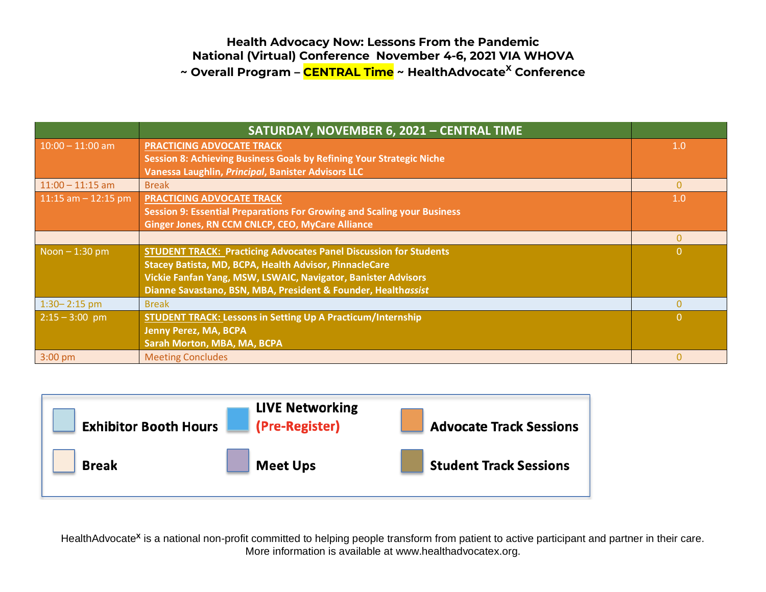#### **Health Advocacy Now: Lessons From the Pandemic National (Virtual) Conference November 4-6, 2021 VIA WHOVA ~ Overall Program – CENTRAL Time ~ HealthAdvocate<sup>X</sup> Conference**

|                        | SATURDAY, NOVEMBER 6, 2021 - CENTRAL TIME                                |                |
|------------------------|--------------------------------------------------------------------------|----------------|
| $10:00 - 11:00$ am     | <b>PRACTICING ADVOCATE TRACK</b>                                         | 1.0            |
|                        | Session 8: Achieving Business Goals by Refining Your Strategic Niche     |                |
|                        | Vanessa Laughlin, Principal, Banister Advisors LLC                       |                |
| $11:00 - 11:15$ am     | <b>Break</b>                                                             | $\mathbf{0}$   |
| $11:15$ am $-12:15$ pm | <b>PRACTICING ADVOCATE TRACK</b>                                         | 1.0            |
|                        | Session 9: Essential Preparations For Growing and Scaling your Business  |                |
|                        | Ginger Jones, RN CCM CNLCP, CEO, MyCare Alliance                         |                |
|                        |                                                                          | $\Omega$       |
| $N$ oon $-1:30$ pm     | <b>STUDENT TRACK: Practicing Advocates Panel Discussion for Students</b> | $\overline{0}$ |
|                        | Stacey Batista, MD, BCPA, Health Advisor, PinnacleCare                   |                |
|                        | Vickie Fanfan Yang, MSW, LSWAIC, Navigator, Banister Advisors            |                |
|                        | Dianne Savastano, BSN, MBA, President & Founder, Healthassist            |                |
| $1:30 - 2:15$ pm       | <b>Break</b>                                                             | $\Omega$       |
| $2:15 - 3:00$ pm       | <b>STUDENT TRACK: Lessons in Setting Up A Practicum/Internship</b>       | $\Omega$       |
|                        | <b>Jenny Perez, MA, BCPA</b>                                             |                |
|                        | Sarah Morton, MBA, MA, BCPA                                              |                |
| $3:00$ pm              | <b>Meeting Concludes</b>                                                 | $\mathbf{0}$   |